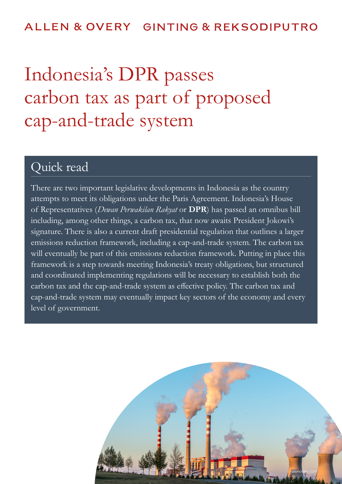## ALLEN & OVERY GINTING & REKSODIPUTRO

# Indonesia's DPR passes carbon tax as part of proposed cap-and-trade system

# Quick read

There are two important legislative developments in Indonesia as the country attempts to meet its obligations under the Paris Agreement. Indonesia's House of Representatives (*Dewan Perwakilan Rakyat* or **DPR**) has passed an omnibus bill including, among other things, a carbon tax, that now awaits President Jokowi's signature. There is also a current draft presidential regulation that outlines a larger emissions reduction framework, including a cap-and-trade system. The carbon tax will eventually be part of this emissions reduction framework. Putting in place this framework is a step towards meeting Indonesia's treaty obligations, but structured and coordinated implementing regulations will be necessary to establish both the carbon tax and the cap-and-trade system as effective policy. The carbon tax and cap-and-trade system may eventually impact key sectors of the economy and every level of government.

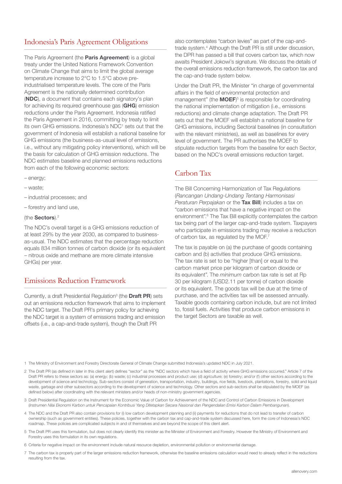## Indonesia's Paris Agreement Obligations

The Paris Agreement (the **Paris Agreement**) is a global treaty under the United Nations Framework Convention on Climate Change that aims to limit the global average temperature increase to 2°C to 1.5°C above preindustrialised temperature levels. The core of the Paris Agreement is the nationally determined contribution (NDC), a document that contains each signatory's plan for achieving its required greenhouse gas (GHG) emission reductions under the Paris Agreement. Indonesia ratified the Paris Agreement in 2016, committing by treaty to limit its own GHG emissions. Indonesia's NDC<sup>1</sup> sets out that the government of Indonesia will establish a national baseline for GHG emissions (the business-as-usual level of emissions, i.e., without any mitigating policy interventions), which will be the basis for calculation of GHG emission reductions. The NDC estimates baseline and planned emissions reductions from each of the following economic sectors:

- energy;
- waste;
- industrial processes; and
- forestry and land use,

#### (the Sectors).2

The NDC's overall target is a GHG emissions reduction of at least 29% by the year 2030, as compared to businessas-usual. The NDC estimates that the percentage reduction equals 834 million tonnes of carbon dioxide (or its equivalent – nitrous oxide and methane are more climate intensive GHGs) per year.

#### Emissions Reduction Framework

Currently, a draft Presidential Regulation<sup>3</sup> (the **Draft PR**) sets out an emissions reduction framework that aims to implement the NDC target. The Draft PR's primary policy for achieving the NDC target is a system of emissions trading and emission offsets (i.e., a cap-and-trade system), though the Draft PR

also contemplates "carbon levies" as part of the cap-andtrade system.<sup>4</sup> Although the Draft PR is still under discussion, the DPR has passed a bill that covers carbon tax, which now awaits President Jokowi's signature. We discuss the details of the overall emissions reduction framework, the carbon tax and the cap-and-trade system below.

Under the Draft PR, the Minister "in charge of governmental affairs in the field of environmental protection and management" (the  $MOEF$ <sup>5</sup> is responsible for coordinating the national implementation of mitigation (i.e., emissions reductions) and climate change adaptation. The Draft PR sets out that the MOEF will establish a national baseline for GHG emissions, including Sectoral baselines (in consultation with the relevant ministries), as well as baselines for every level of government. The PR authorises the MOEF to stipulate reduction targets from the baseline for each Sector, based on the NDC's overall emissions reduction target.

#### Carbon Tax

The Bill Concerning Harmonization of Tax Regulations (*Rancangan Undang-Undang Tentang Harmonisasi Peraturan Perpajakan* or the Tax Bill) includes a tax on "carbon emissions that have a negative impact on the environment".<sup>6</sup> The Tax Bill explicitly contemplates the carbon tax being part of the larger cap-and-trade system. Taxpayers who participate in emissions trading may receive a reduction of carbon tax, as regulated by the MOF.<sup>7</sup>

The tax is payable on (a) the purchase of goods containing carbon and (b) activities that produce GHG emissions. The tax rate is set to be "higher [than] or equal to the carbon market price per kilogram of carbon dioxide or its equivalent". The *minimum* carbon tax rate is set at Rp 30 per kilogram (USD2.11 per tonne) of carbon dioxide or its equivalent. The goods tax will be due at the time of purchase, and the activities tax will be assessed annually. Taxable goods containing carbon include, but are not limited to, fossil fuels. Activities that produce carbon emissions in the target Sectors are taxable as well.

1 The Ministry of Environment and Forestry Directorate General of Climate Change submitted Indonesia's updated NDC in July 2021.

- 2 The Draft PR (as defined in later in this client alert) defines "sector" as the "NDC sectors which have a field of activity where GHG emissions occurred." Article 7 of the Draft PR refers to these sectors as: (a) energy; (b) waste; (c) industrial processes and product use; (d) agriculture; (e) forestry; and/or (f) other sectors according to the development of science and technology. Sub-sectors consist of generation, transportation, industry, buildings, rice fields, livestock, plantations, forestry, solid and liquid waste, garbage and other subsectors according to the development of science and technology. Other sectors and sub-sectors shall be stipulated by the MOEF (as defined below) after coordinating with the relevant ministers and/or heads of non-ministry government agencies.
- 3 Draft Presidential Regulation on the Instrument for the Economic Value of Carbon for Achievement of the NDC and Control of Carbon Emissions in Development (*Instrumen Nilai Ekonomi Karbon untuk Pencapaian Kontribusi Yang Ditetapkan Secara Nasional dan Pengendalian Emisi Karbon Dalam Pembangunan*).
- 4 The NDC and the Draft PR also contain provisions for (i) low carbon development planning and (ii) payments for reductions that do not lead to transfer of carbon ownership (such as government entities). These policies, together with the carbon tax and cap-and-trade system discussed here, form the core of Indonesia's NDC roadmap. These policies are complicated subjects in and of themselves and are beyond the scope of this client alert.
- 5 The Draft PR uses this formulation, but does not clearly identify this minister as the Minister of Environment and Forestry. However the Ministry of Environment and Forestry uses this formulation in its own regulations.
- 6 Criteria for negative impact on the environment include natural resource depletion, environmental pollution or environmental damage.
- 7 The carbon tax is properly part of the larger emissions reduction framework, otherwise the baseline emissions calculation would need to already reflect in the reductions resulting from the tax.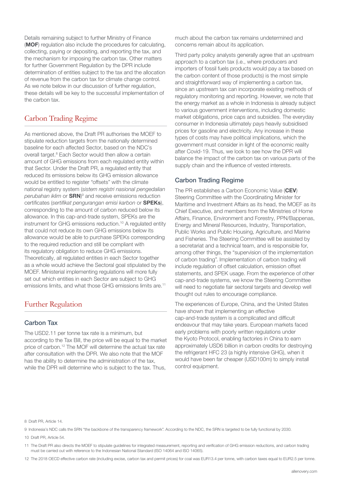Details remaining subject to further Ministry of Finance (MOF) regulation also include the procedures for calculating, collecting, paying or depositing, and reporting the tax, and the mechanism for imposing the carbon tax. Other matters for further Government Regulation by the DPR include determination of entities subject to the tax and the allocation of revenue from the carbon tax for climate change control. As we note below in our discussion of further regulation, these details will be key to the successful implementation of the carbon tax.

### Carbon Trading Regime

As mentioned above, the Draft PR authorises the MOEF to stipulate reduction targets from the nationally determined baseline for each affected Sector, based on the NDC's overall target.<sup>8</sup> Each Sector would then allow a certain amount of GHG emissions from each regulated entity within that Sector. Under the Draft PR, a regulated entity that reduced its emissions below its GHG emission allowance would be entitled to register "offsets" with the climate national registry system (*sistem registri nasional pengedalian*  perubahan iklim or **SRN**)<sup>9</sup> and receive emissions reduction certificates (sertifikat pengurangan emisi karbon or SPEKs), corresponding to the amount of carbon reduced below its allowance. In this cap-and-trade system, SPEKs are the instrument for GHG emissions reduction.<sup>10</sup> A regulated entity that could not reduce its own GHG emissions below its allowance would be able to purchase SPEKs corresponding to the required reduction and still be compliant with its regulatory obligation to reduce GHG emissions. Theoretically, all regulated entities in each Sector together as a whole would achieve the Sectoral goal stipulated by the MOEF. Ministerial implementing regulations will more fully set out which entities in each Sector are subject to GHG emissions limits, and what those GHG emissions limits are.<sup>11</sup>

### Further Regulation

#### Carbon Tax

The USD2.11 per tonne tax rate is a minimum, but according to the Tax Bill, the price will be equal to the market price of carbon.12 The MOF will determine the actual tax rate after consultation with the DPR. We also note that the MOF has the ability to determine the administration of the tax, while the DPR will determine who is subject to the tax. Thus,

much about the carbon tax remains undetermined and concerns remain about its application.

Third party policy analysts generally agree that an upstream approach to a carbon tax (i.e., where producers and importers of fossil fuels products would pay a tax based on the carbon content of those products) is the most simple and straightforward way of implementing a carbon tax, since an upstream tax can incorporate existing methods of regulatory monitoring and reporting. However, we note that the energy market as a whole in Indonesia is already subject to various government interventions, including domestic market obligations, price caps and subsidies. The everyday consumer in Indonesia ultimately pays heavily subsidised prices for gasoline and electricity. Any increase in these types of costs may have political implications, which the government must consider in light of the economic reality after Covid-19. Thus, we look to see how the DPR will balance the impact of the carbon tax on various parts of the supply chain and the influence of vested interests.

#### Carbon Trading Regime

The PR establishes a Carbon Economic Value (CEV) Steering Committee with the Coordinating Minister for Maritime and Investment Affairs as its head, the MOEF as its Chief Executive, and members from the Ministries of Home Affairs, Finance, Environment and Forestry, PPN/Bappenas, Energy and Mineral Resources, Industry, Transportation, Public Works and Public Housing, Agriculture, and Marine and Fisheries. The Steering Committee will be assisted by a secretariat and a technical team, and is responsible for, among other things, the "supervision of the implementation of carbon trading". Implementation of carbon trading will include regulation of offset calculation, emission offset statements, and SPEK usage. From the experience of other cap-and-trade systems, we know the Steering Committee will need to negotiate fair sectoral targets and develop well thought out rules to encourage compliance.

The experiences of Europe, China, and the United States have shown that implementing an effective cap-and-trade system is a complicated and difficult endeavour that may take years. European markets faced early problems with poorly written regulations under the Kyoto Protocol, enabling factories in China to earn approximately USD6 billion in carbon credits for destroying the refrigerant HFC 23 (a highly intensive GHG), when it would have been far cheaper (USD100m) to simply install control equipment.

#### 8 Draft PR, Article 14.

9 Indonesia's NDC calls the SRN "the backbone of the transparency framework". According to the NDC, the SRN is targeted to be fully functional by 2030.

10 Draft PR, Article 54.

11 The Draft PR also directs the MOEF to stipulate guidelines for integrated measurement, reporting and verification of GHG emission reductions, and carbon trading must be carried out with reference to the Indonesian National Standard (ISO 14064 and ISO 14065).

12 The 2018 OECD effective carbon rate (including excise, carbon tax and permit prices) for coal was EUR13.4 per tonne, with carbon taxes equal to EUR2.5 per tonne.